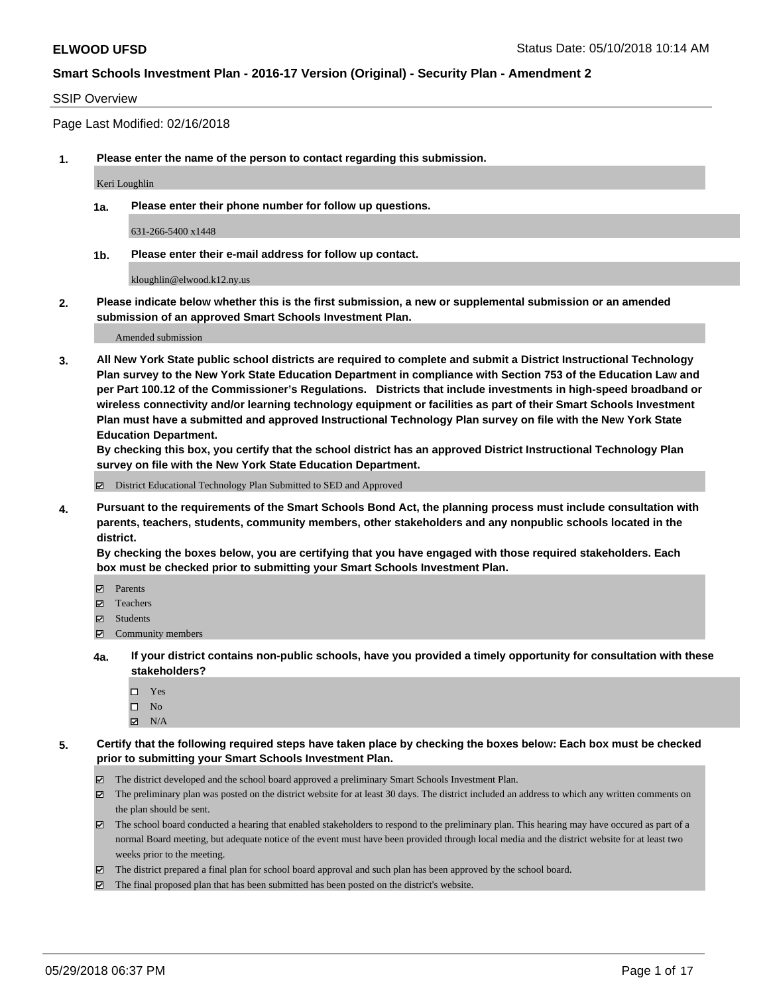### SSIP Overview

Page Last Modified: 02/16/2018

**1. Please enter the name of the person to contact regarding this submission.**

Keri Loughlin

**1a. Please enter their phone number for follow up questions.**

631-266-5400 x1448

**1b. Please enter their e-mail address for follow up contact.**

kloughlin@elwood.k12.ny.us

**2. Please indicate below whether this is the first submission, a new or supplemental submission or an amended submission of an approved Smart Schools Investment Plan.**

Amended submission

**3. All New York State public school districts are required to complete and submit a District Instructional Technology Plan survey to the New York State Education Department in compliance with Section 753 of the Education Law and per Part 100.12 of the Commissioner's Regulations. Districts that include investments in high-speed broadband or wireless connectivity and/or learning technology equipment or facilities as part of their Smart Schools Investment Plan must have a submitted and approved Instructional Technology Plan survey on file with the New York State Education Department.** 

**By checking this box, you certify that the school district has an approved District Instructional Technology Plan survey on file with the New York State Education Department.**

District Educational Technology Plan Submitted to SED and Approved

**4. Pursuant to the requirements of the Smart Schools Bond Act, the planning process must include consultation with parents, teachers, students, community members, other stakeholders and any nonpublic schools located in the district.** 

**By checking the boxes below, you are certifying that you have engaged with those required stakeholders. Each box must be checked prior to submitting your Smart Schools Investment Plan.**

- Parents
- Teachers
- Students
- Community members
- **4a. If your district contains non-public schools, have you provided a timely opportunity for consultation with these stakeholders?**
	- Yes
	- $\square$  No
	- $N/A$
- **5. Certify that the following required steps have taken place by checking the boxes below: Each box must be checked prior to submitting your Smart Schools Investment Plan.**
	- The district developed and the school board approved a preliminary Smart Schools Investment Plan.
	- $\boxtimes$  The preliminary plan was posted on the district website for at least 30 days. The district included an address to which any written comments on the plan should be sent.
	- $\boxtimes$  The school board conducted a hearing that enabled stakeholders to respond to the preliminary plan. This hearing may have occured as part of a normal Board meeting, but adequate notice of the event must have been provided through local media and the district website for at least two weeks prior to the meeting.
	- The district prepared a final plan for school board approval and such plan has been approved by the school board.
	- $\boxtimes$  The final proposed plan that has been submitted has been posted on the district's website.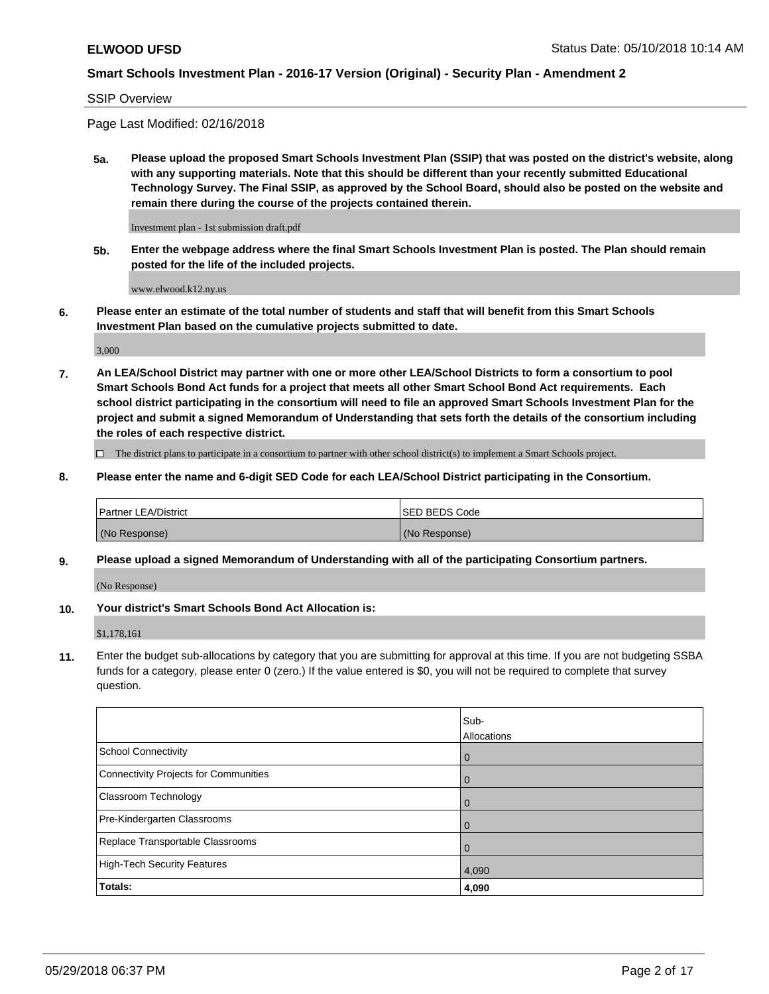#### SSIP Overview

Page Last Modified: 02/16/2018

**5a. Please upload the proposed Smart Schools Investment Plan (SSIP) that was posted on the district's website, along with any supporting materials. Note that this should be different than your recently submitted Educational Technology Survey. The Final SSIP, as approved by the School Board, should also be posted on the website and remain there during the course of the projects contained therein.**

Investment plan - 1st submission draft.pdf

**5b. Enter the webpage address where the final Smart Schools Investment Plan is posted. The Plan should remain posted for the life of the included projects.**

www.elwood.k12.ny.us

**6. Please enter an estimate of the total number of students and staff that will benefit from this Smart Schools Investment Plan based on the cumulative projects submitted to date.**

3,000

**7. An LEA/School District may partner with one or more other LEA/School Districts to form a consortium to pool Smart Schools Bond Act funds for a project that meets all other Smart School Bond Act requirements. Each school district participating in the consortium will need to file an approved Smart Schools Investment Plan for the project and submit a signed Memorandum of Understanding that sets forth the details of the consortium including the roles of each respective district.**

 $\Box$  The district plans to participate in a consortium to partner with other school district(s) to implement a Smart Schools project.

#### **8. Please enter the name and 6-digit SED Code for each LEA/School District participating in the Consortium.**

| <b>Partner LEA/District</b> | <b>ISED BEDS Code</b> |
|-----------------------------|-----------------------|
| (No Response)               | (No Response)         |

#### **9. Please upload a signed Memorandum of Understanding with all of the participating Consortium partners.**

(No Response)

### **10. Your district's Smart Schools Bond Act Allocation is:**

\$1,178,161

**11.** Enter the budget sub-allocations by category that you are submitting for approval at this time. If you are not budgeting SSBA funds for a category, please enter 0 (zero.) If the value entered is \$0, you will not be required to complete that survey question.

|                                              | Sub-<br>Allocations |
|----------------------------------------------|---------------------|
| <b>School Connectivity</b>                   | $\mathbf 0$         |
| <b>Connectivity Projects for Communities</b> | $\overline{0}$      |
| Classroom Technology                         | $\mathbf 0$         |
| Pre-Kindergarten Classrooms                  | $\Omega$            |
| Replace Transportable Classrooms             | $\Omega$            |
| <b>High-Tech Security Features</b>           | 4,090               |
| Totals:                                      | 4,090               |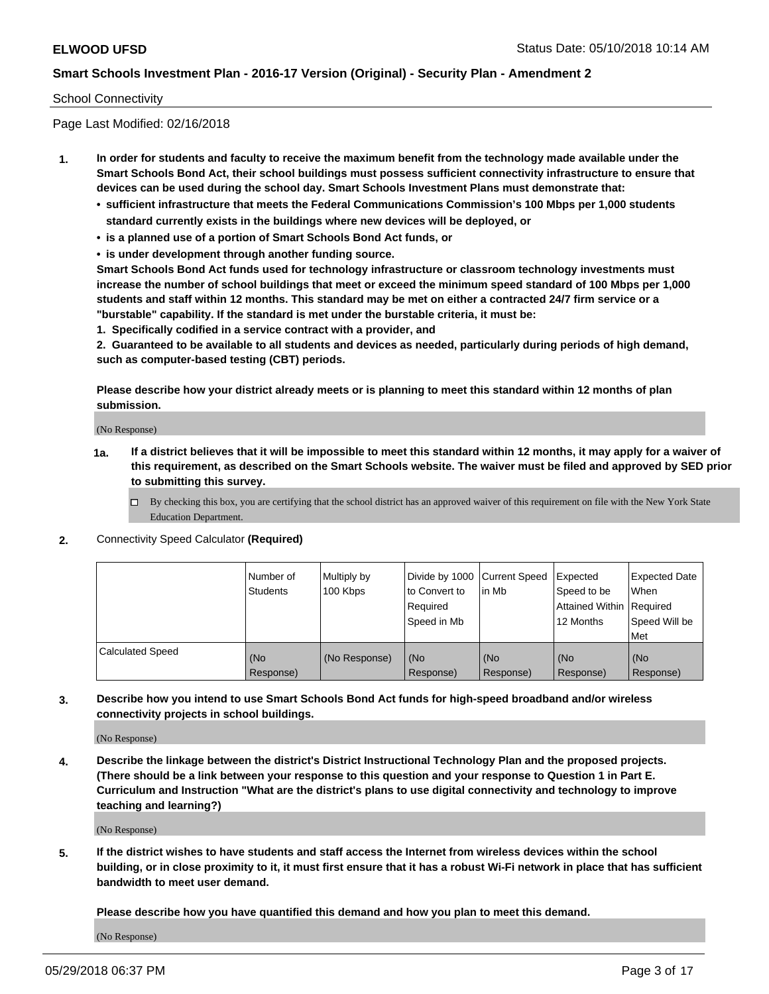### School Connectivity

Page Last Modified: 02/16/2018

- **1. In order for students and faculty to receive the maximum benefit from the technology made available under the Smart Schools Bond Act, their school buildings must possess sufficient connectivity infrastructure to ensure that devices can be used during the school day. Smart Schools Investment Plans must demonstrate that:**
	- **• sufficient infrastructure that meets the Federal Communications Commission's 100 Mbps per 1,000 students standard currently exists in the buildings where new devices will be deployed, or**
	- **• is a planned use of a portion of Smart Schools Bond Act funds, or**
	- **• is under development through another funding source.**

**Smart Schools Bond Act funds used for technology infrastructure or classroom technology investments must increase the number of school buildings that meet or exceed the minimum speed standard of 100 Mbps per 1,000 students and staff within 12 months. This standard may be met on either a contracted 24/7 firm service or a "burstable" capability. If the standard is met under the burstable criteria, it must be:**

**1. Specifically codified in a service contract with a provider, and**

**2. Guaranteed to be available to all students and devices as needed, particularly during periods of high demand, such as computer-based testing (CBT) periods.**

**Please describe how your district already meets or is planning to meet this standard within 12 months of plan submission.**

(No Response)

- **1a. If a district believes that it will be impossible to meet this standard within 12 months, it may apply for a waiver of this requirement, as described on the Smart Schools website. The waiver must be filed and approved by SED prior to submitting this survey.**
	- By checking this box, you are certifying that the school district has an approved waiver of this requirement on file with the New York State Education Department.
- **2.** Connectivity Speed Calculator **(Required)**

|                         | l Number of<br><b>Students</b> | Multiply by<br>100 Kbps | Divide by 1000 Current Speed<br>to Convert to<br>Required<br>l Speed in Mb | lin Mb           | Expected<br>Speed to be<br>Attained Within Required<br>12 Months | <b>Expected Date</b><br><b>When</b><br>Speed Will be<br>l Met |
|-------------------------|--------------------------------|-------------------------|----------------------------------------------------------------------------|------------------|------------------------------------------------------------------|---------------------------------------------------------------|
| <b>Calculated Speed</b> | (No<br>Response)               | (No Response)           | (No<br>Response)                                                           | (No<br>Response) | (No<br>Response)                                                 | l (No<br>Response)                                            |

**3. Describe how you intend to use Smart Schools Bond Act funds for high-speed broadband and/or wireless connectivity projects in school buildings.**

(No Response)

**4. Describe the linkage between the district's District Instructional Technology Plan and the proposed projects. (There should be a link between your response to this question and your response to Question 1 in Part E. Curriculum and Instruction "What are the district's plans to use digital connectivity and technology to improve teaching and learning?)**

(No Response)

**5. If the district wishes to have students and staff access the Internet from wireless devices within the school building, or in close proximity to it, it must first ensure that it has a robust Wi-Fi network in place that has sufficient bandwidth to meet user demand.**

**Please describe how you have quantified this demand and how you plan to meet this demand.**

(No Response)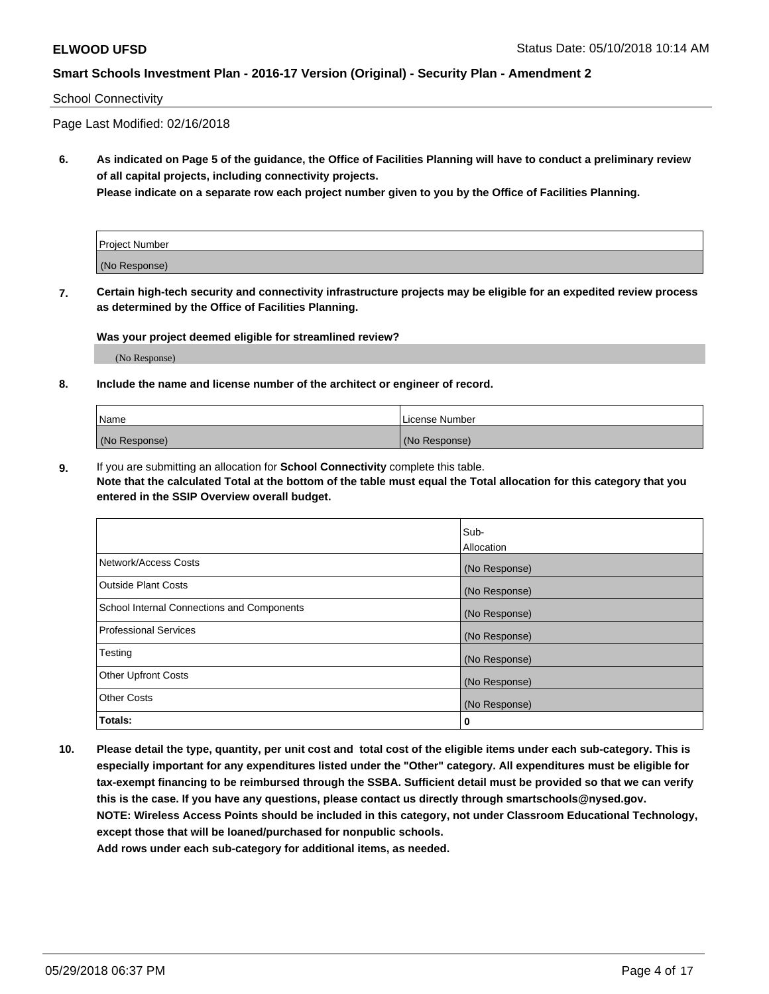### School Connectivity

Page Last Modified: 02/16/2018

**6. As indicated on Page 5 of the guidance, the Office of Facilities Planning will have to conduct a preliminary review of all capital projects, including connectivity projects.**

**Please indicate on a separate row each project number given to you by the Office of Facilities Planning.**

| Project Number |  |
|----------------|--|
| (No Response)  |  |

**7. Certain high-tech security and connectivity infrastructure projects may be eligible for an expedited review process as determined by the Office of Facilities Planning.**

#### **Was your project deemed eligible for streamlined review?**

(No Response)

#### **8. Include the name and license number of the architect or engineer of record.**

| Name          | License Number |
|---------------|----------------|
| (No Response) | (No Response)  |

**9.** If you are submitting an allocation for **School Connectivity** complete this table.

**Note that the calculated Total at the bottom of the table must equal the Total allocation for this category that you entered in the SSIP Overview overall budget.** 

|                                            | Sub-          |
|--------------------------------------------|---------------|
|                                            | Allocation    |
| Network/Access Costs                       | (No Response) |
| Outside Plant Costs                        | (No Response) |
| School Internal Connections and Components | (No Response) |
| Professional Services                      | (No Response) |
| Testing                                    | (No Response) |
| <b>Other Upfront Costs</b>                 | (No Response) |
| <b>Other Costs</b>                         | (No Response) |
| Totals:                                    | 0             |

**10. Please detail the type, quantity, per unit cost and total cost of the eligible items under each sub-category. This is especially important for any expenditures listed under the "Other" category. All expenditures must be eligible for tax-exempt financing to be reimbursed through the SSBA. Sufficient detail must be provided so that we can verify this is the case. If you have any questions, please contact us directly through smartschools@nysed.gov. NOTE: Wireless Access Points should be included in this category, not under Classroom Educational Technology, except those that will be loaned/purchased for nonpublic schools.**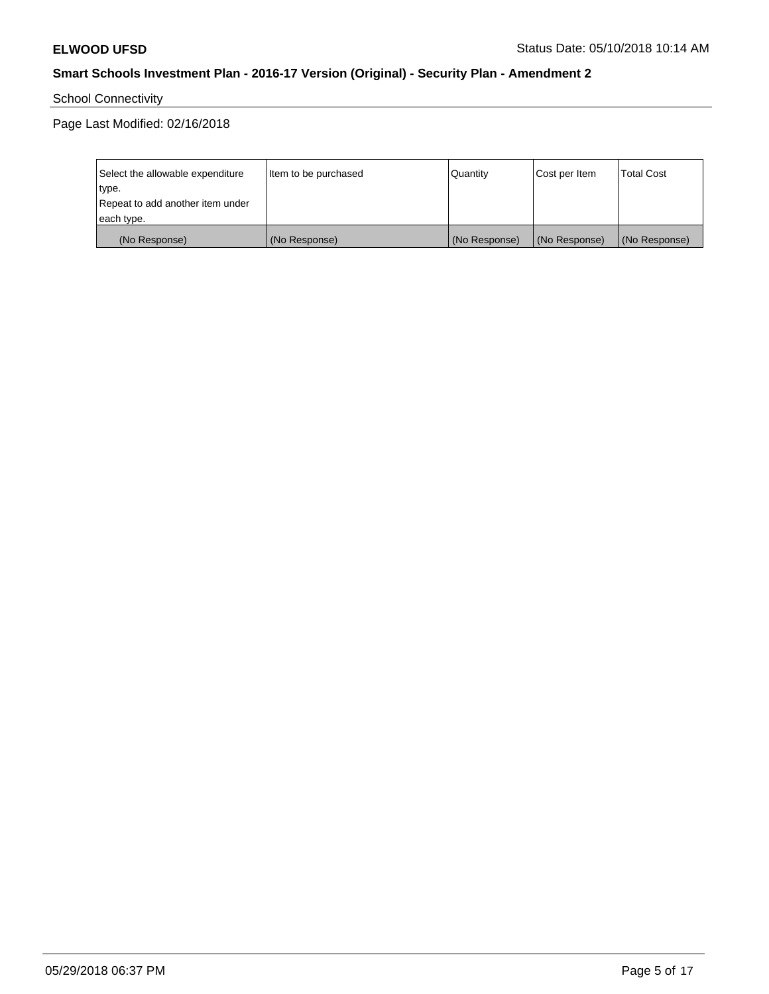School Connectivity

| Select the allowable expenditure | Item to be purchased | Quantity      | Cost per Item | <b>Total Cost</b> |
|----------------------------------|----------------------|---------------|---------------|-------------------|
| type.                            |                      |               |               |                   |
| Repeat to add another item under |                      |               |               |                   |
| each type.                       |                      |               |               |                   |
| (No Response)                    | (No Response)        | (No Response) | (No Response) | (No Response)     |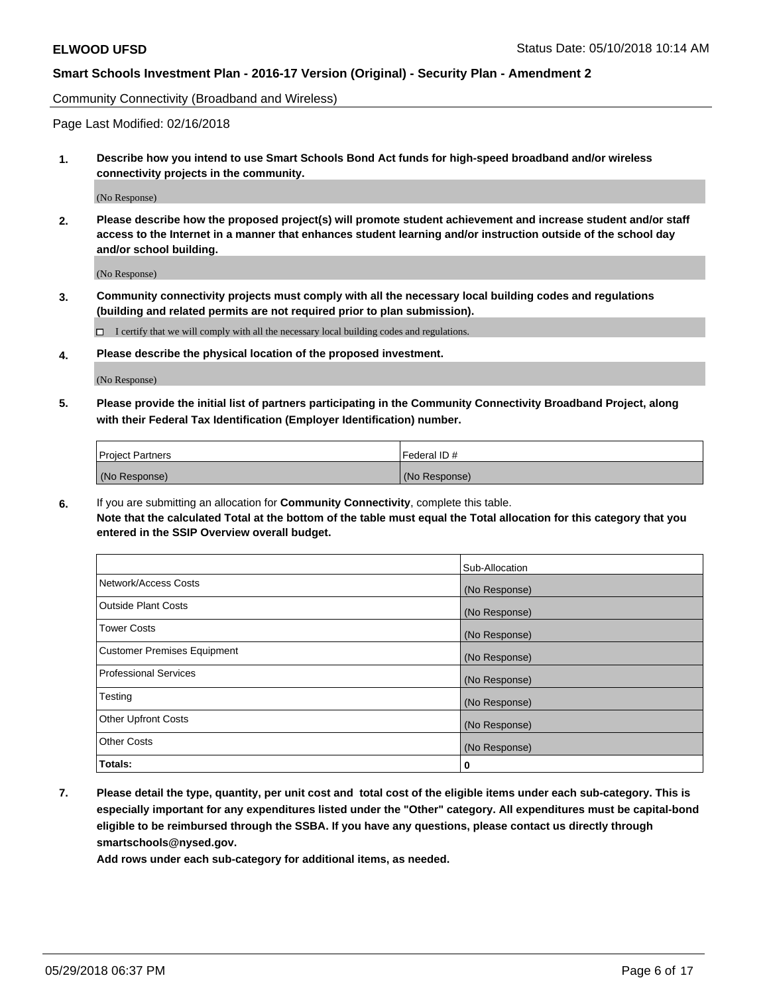Community Connectivity (Broadband and Wireless)

Page Last Modified: 02/16/2018

**1. Describe how you intend to use Smart Schools Bond Act funds for high-speed broadband and/or wireless connectivity projects in the community.**

(No Response)

**2. Please describe how the proposed project(s) will promote student achievement and increase student and/or staff access to the Internet in a manner that enhances student learning and/or instruction outside of the school day and/or school building.**

(No Response)

**3. Community connectivity projects must comply with all the necessary local building codes and regulations (building and related permits are not required prior to plan submission).**

 $\Box$  I certify that we will comply with all the necessary local building codes and regulations.

**4. Please describe the physical location of the proposed investment.**

(No Response)

**5. Please provide the initial list of partners participating in the Community Connectivity Broadband Project, along with their Federal Tax Identification (Employer Identification) number.**

| <b>Project Partners</b> | l Federal ID # |
|-------------------------|----------------|
| (No Response)           | (No Response)  |

**6.** If you are submitting an allocation for **Community Connectivity**, complete this table. **Note that the calculated Total at the bottom of the table must equal the Total allocation for this category that you entered in the SSIP Overview overall budget.**

|                                    | Sub-Allocation |
|------------------------------------|----------------|
| Network/Access Costs               | (No Response)  |
| Outside Plant Costs                | (No Response)  |
| <b>Tower Costs</b>                 | (No Response)  |
| <b>Customer Premises Equipment</b> | (No Response)  |
| Professional Services              | (No Response)  |
| Testing                            | (No Response)  |
| <b>Other Upfront Costs</b>         | (No Response)  |
| <b>Other Costs</b>                 | (No Response)  |
| Totals:                            | 0              |

**7. Please detail the type, quantity, per unit cost and total cost of the eligible items under each sub-category. This is especially important for any expenditures listed under the "Other" category. All expenditures must be capital-bond eligible to be reimbursed through the SSBA. If you have any questions, please contact us directly through smartschools@nysed.gov.**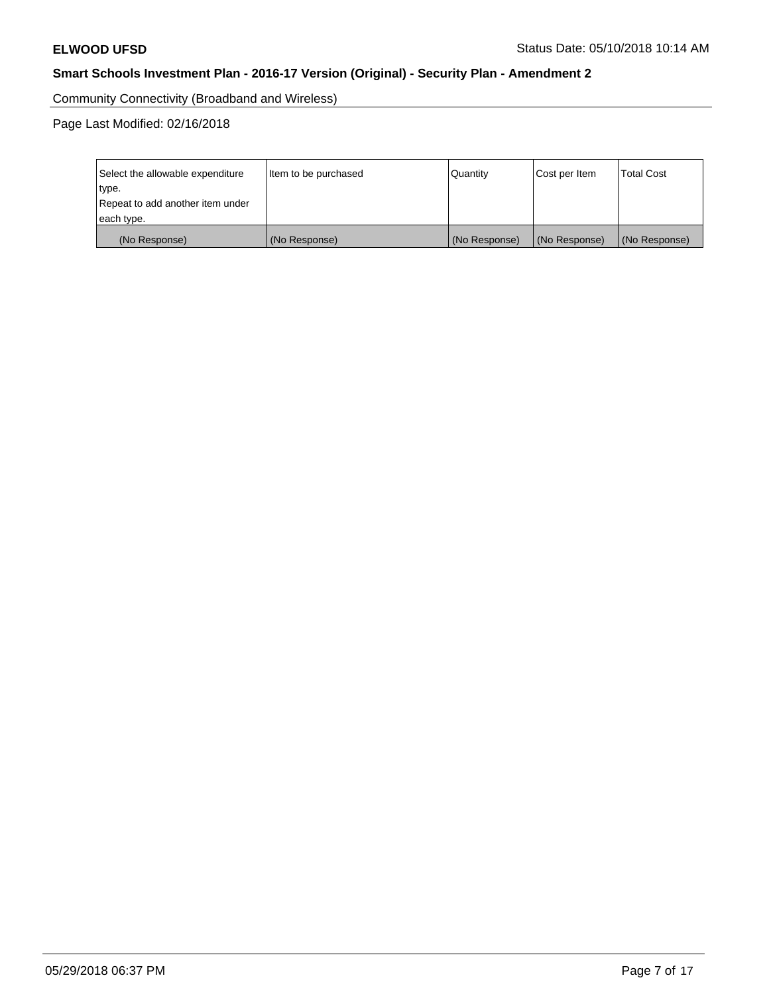Community Connectivity (Broadband and Wireless)

| Select the allowable expenditure | Item to be purchased | <b>Quantity</b> | Cost per Item | <b>Total Cost</b> |
|----------------------------------|----------------------|-----------------|---------------|-------------------|
| type.                            |                      |                 |               |                   |
| Repeat to add another item under |                      |                 |               |                   |
| each type.                       |                      |                 |               |                   |
| (No Response)                    | (No Response)        | (No Response)   | (No Response) | (No Response)     |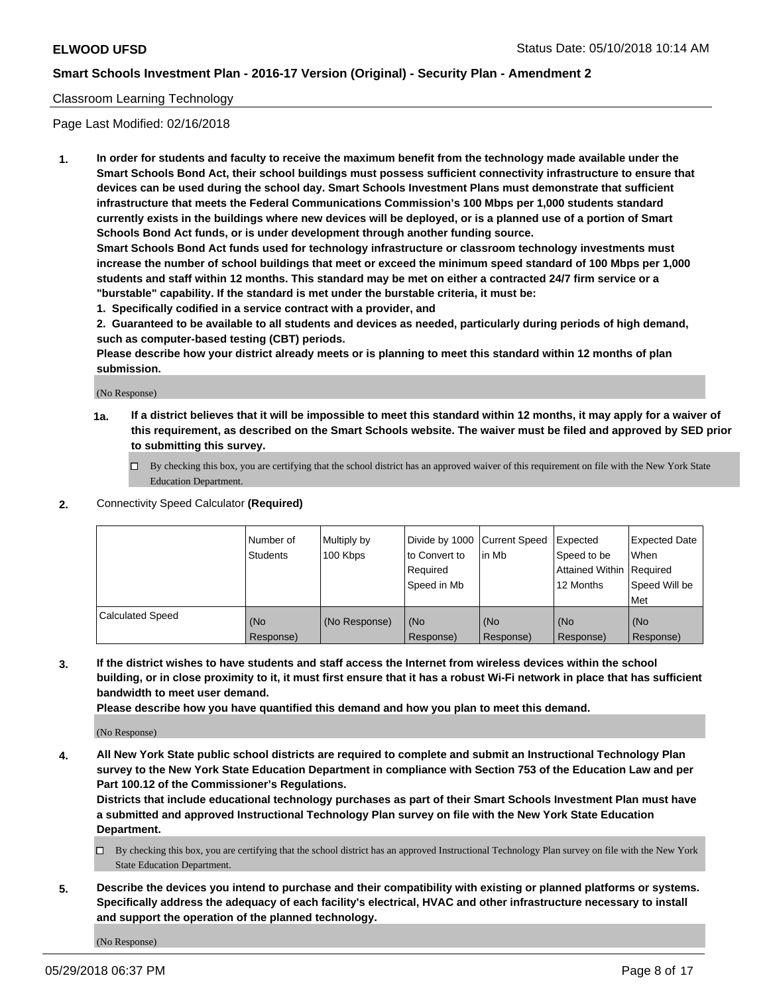### Classroom Learning Technology

Page Last Modified: 02/16/2018

**1. In order for students and faculty to receive the maximum benefit from the technology made available under the Smart Schools Bond Act, their school buildings must possess sufficient connectivity infrastructure to ensure that devices can be used during the school day. Smart Schools Investment Plans must demonstrate that sufficient infrastructure that meets the Federal Communications Commission's 100 Mbps per 1,000 students standard currently exists in the buildings where new devices will be deployed, or is a planned use of a portion of Smart Schools Bond Act funds, or is under development through another funding source.**

**Smart Schools Bond Act funds used for technology infrastructure or classroom technology investments must increase the number of school buildings that meet or exceed the minimum speed standard of 100 Mbps per 1,000 students and staff within 12 months. This standard may be met on either a contracted 24/7 firm service or a "burstable" capability. If the standard is met under the burstable criteria, it must be:**

**1. Specifically codified in a service contract with a provider, and**

**2. Guaranteed to be available to all students and devices as needed, particularly during periods of high demand, such as computer-based testing (CBT) periods.**

**Please describe how your district already meets or is planning to meet this standard within 12 months of plan submission.**

(No Response)

- **1a. If a district believes that it will be impossible to meet this standard within 12 months, it may apply for a waiver of this requirement, as described on the Smart Schools website. The waiver must be filed and approved by SED prior to submitting this survey.**
	- By checking this box, you are certifying that the school district has an approved waiver of this requirement on file with the New York State Education Department.
- **2.** Connectivity Speed Calculator **(Required)**

|                         | l Number of<br><b>Students</b> | Multiply by<br>100 Kbps | Divide by 1000 Current Speed<br>to Convert to<br>Required<br>l Speed in Mb | lin Mb           | Expected<br>Speed to be<br>Attained Within Required<br>12 Months | Expected Date<br>When<br>Speed Will be<br><b>Met</b> |
|-------------------------|--------------------------------|-------------------------|----------------------------------------------------------------------------|------------------|------------------------------------------------------------------|------------------------------------------------------|
| <b>Calculated Speed</b> | (No<br>Response)               | (No Response)           | (No<br>Response)                                                           | (No<br>Response) | (No<br>Response)                                                 | l (No<br>Response)                                   |

**3. If the district wishes to have students and staff access the Internet from wireless devices within the school building, or in close proximity to it, it must first ensure that it has a robust Wi-Fi network in place that has sufficient bandwidth to meet user demand.**

**Please describe how you have quantified this demand and how you plan to meet this demand.**

(No Response)

**4. All New York State public school districts are required to complete and submit an Instructional Technology Plan survey to the New York State Education Department in compliance with Section 753 of the Education Law and per Part 100.12 of the Commissioner's Regulations.**

**Districts that include educational technology purchases as part of their Smart Schools Investment Plan must have a submitted and approved Instructional Technology Plan survey on file with the New York State Education Department.**

- By checking this box, you are certifying that the school district has an approved Instructional Technology Plan survey on file with the New York State Education Department.
- **5. Describe the devices you intend to purchase and their compatibility with existing or planned platforms or systems. Specifically address the adequacy of each facility's electrical, HVAC and other infrastructure necessary to install and support the operation of the planned technology.**

(No Response)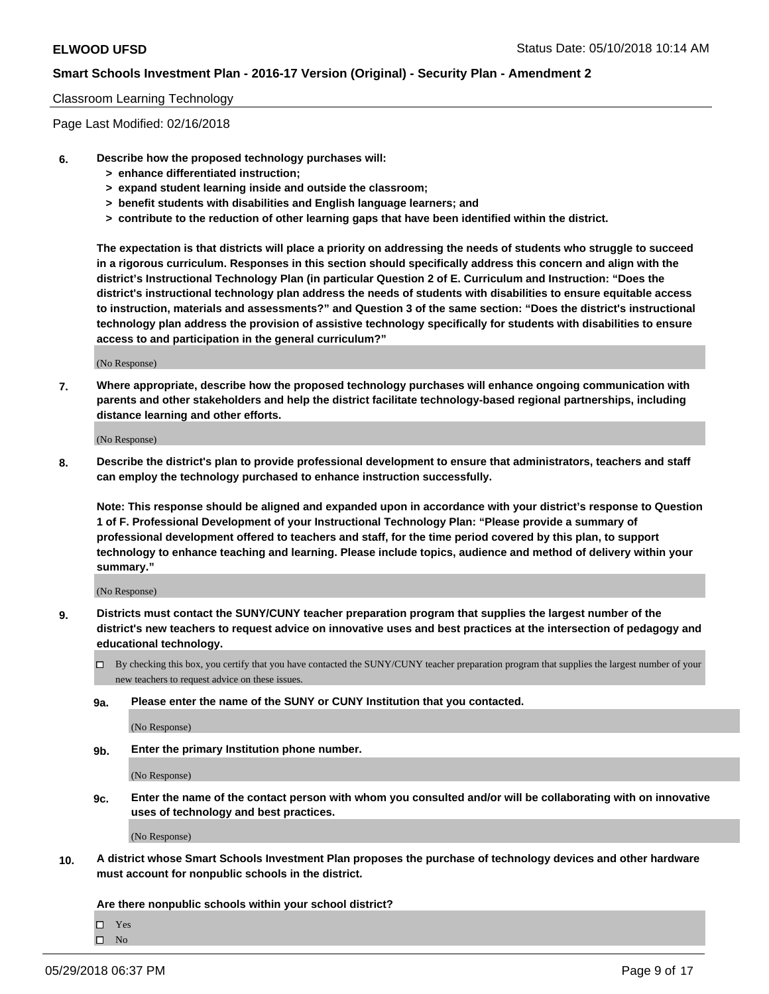#### Classroom Learning Technology

Page Last Modified: 02/16/2018

- **6. Describe how the proposed technology purchases will:**
	- **> enhance differentiated instruction;**
	- **> expand student learning inside and outside the classroom;**
	- **> benefit students with disabilities and English language learners; and**
	- **> contribute to the reduction of other learning gaps that have been identified within the district.**

**The expectation is that districts will place a priority on addressing the needs of students who struggle to succeed in a rigorous curriculum. Responses in this section should specifically address this concern and align with the district's Instructional Technology Plan (in particular Question 2 of E. Curriculum and Instruction: "Does the district's instructional technology plan address the needs of students with disabilities to ensure equitable access to instruction, materials and assessments?" and Question 3 of the same section: "Does the district's instructional technology plan address the provision of assistive technology specifically for students with disabilities to ensure access to and participation in the general curriculum?"**

(No Response)

**7. Where appropriate, describe how the proposed technology purchases will enhance ongoing communication with parents and other stakeholders and help the district facilitate technology-based regional partnerships, including distance learning and other efforts.**

(No Response)

**8. Describe the district's plan to provide professional development to ensure that administrators, teachers and staff can employ the technology purchased to enhance instruction successfully.**

**Note: This response should be aligned and expanded upon in accordance with your district's response to Question 1 of F. Professional Development of your Instructional Technology Plan: "Please provide a summary of professional development offered to teachers and staff, for the time period covered by this plan, to support technology to enhance teaching and learning. Please include topics, audience and method of delivery within your summary."**

(No Response)

- **9. Districts must contact the SUNY/CUNY teacher preparation program that supplies the largest number of the district's new teachers to request advice on innovative uses and best practices at the intersection of pedagogy and educational technology.**
	- $\Box$  By checking this box, you certify that you have contacted the SUNY/CUNY teacher preparation program that supplies the largest number of your new teachers to request advice on these issues.
	- **9a. Please enter the name of the SUNY or CUNY Institution that you contacted.**

(No Response)

**9b. Enter the primary Institution phone number.**

(No Response)

**9c. Enter the name of the contact person with whom you consulted and/or will be collaborating with on innovative uses of technology and best practices.**

(No Response)

**10. A district whose Smart Schools Investment Plan proposes the purchase of technology devices and other hardware must account for nonpublic schools in the district.**

**Are there nonpublic schools within your school district?**

Yes

 $\hfill \square$  No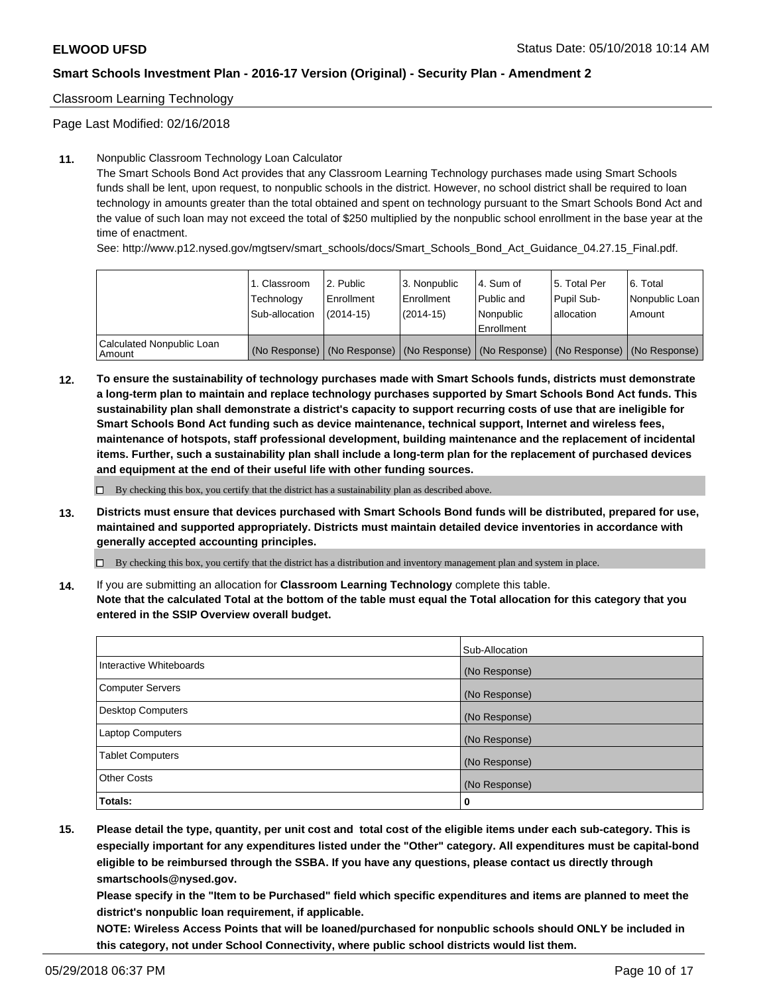Classroom Learning Technology

Page Last Modified: 02/16/2018

### **11.** Nonpublic Classroom Technology Loan Calculator

The Smart Schools Bond Act provides that any Classroom Learning Technology purchases made using Smart Schools funds shall be lent, upon request, to nonpublic schools in the district. However, no school district shall be required to loan technology in amounts greater than the total obtained and spent on technology pursuant to the Smart Schools Bond Act and the value of such loan may not exceed the total of \$250 multiplied by the nonpublic school enrollment in the base year at the time of enactment.

See: http://www.p12.nysed.gov/mgtserv/smart\_schools/docs/Smart\_Schools\_Bond\_Act\_Guidance\_04.27.15\_Final.pdf.

|                                       | 1. Classroom<br>Technology<br>Sub-allocation | l 2. Public<br>Enrollment<br>$(2014 - 15)$ | l 3. Nonpublic<br>Enrollment<br>(2014-15) | 4. Sum of<br>Public and<br>l Nonpublic<br>Enrollment | l 5. Total Per<br>Pupil Sub-<br>lallocation                                                   | l 6. Total<br>Nonpublic Loan<br>Amount |
|---------------------------------------|----------------------------------------------|--------------------------------------------|-------------------------------------------|------------------------------------------------------|-----------------------------------------------------------------------------------------------|----------------------------------------|
| Calculated Nonpublic Loan<br>l Amount |                                              |                                            |                                           |                                                      | (No Response)   (No Response)   (No Response)   (No Response)   (No Response)   (No Response) |                                        |

**12. To ensure the sustainability of technology purchases made with Smart Schools funds, districts must demonstrate a long-term plan to maintain and replace technology purchases supported by Smart Schools Bond Act funds. This sustainability plan shall demonstrate a district's capacity to support recurring costs of use that are ineligible for Smart Schools Bond Act funding such as device maintenance, technical support, Internet and wireless fees, maintenance of hotspots, staff professional development, building maintenance and the replacement of incidental items. Further, such a sustainability plan shall include a long-term plan for the replacement of purchased devices and equipment at the end of their useful life with other funding sources.**

 $\square$  By checking this box, you certify that the district has a sustainability plan as described above.

**13. Districts must ensure that devices purchased with Smart Schools Bond funds will be distributed, prepared for use, maintained and supported appropriately. Districts must maintain detailed device inventories in accordance with generally accepted accounting principles.**

By checking this box, you certify that the district has a distribution and inventory management plan and system in place.

**14.** If you are submitting an allocation for **Classroom Learning Technology** complete this table.

**Note that the calculated Total at the bottom of the table must equal the Total allocation for this category that you entered in the SSIP Overview overall budget.**

|                          | Sub-Allocation |
|--------------------------|----------------|
| Interactive Whiteboards  | (No Response)  |
| <b>Computer Servers</b>  | (No Response)  |
| <b>Desktop Computers</b> | (No Response)  |
| <b>Laptop Computers</b>  | (No Response)  |
| <b>Tablet Computers</b>  | (No Response)  |
| <b>Other Costs</b>       | (No Response)  |
| Totals:                  | 0              |

**15. Please detail the type, quantity, per unit cost and total cost of the eligible items under each sub-category. This is especially important for any expenditures listed under the "Other" category. All expenditures must be capital-bond eligible to be reimbursed through the SSBA. If you have any questions, please contact us directly through smartschools@nysed.gov.**

**Please specify in the "Item to be Purchased" field which specific expenditures and items are planned to meet the district's nonpublic loan requirement, if applicable.**

**NOTE: Wireless Access Points that will be loaned/purchased for nonpublic schools should ONLY be included in this category, not under School Connectivity, where public school districts would list them.**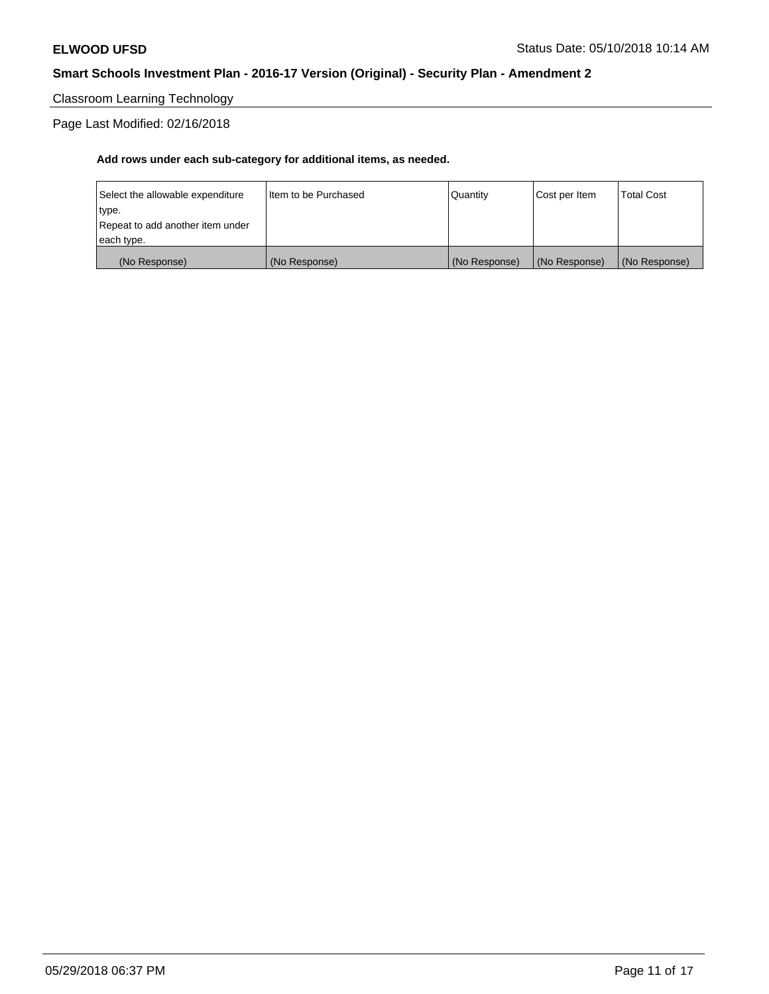# Classroom Learning Technology

# Page Last Modified: 02/16/2018

| (No Response)                    | (No Response)          | (No Response) | (No Response) | (No Response) |
|----------------------------------|------------------------|---------------|---------------|---------------|
| each type.                       |                        |               |               |               |
| Repeat to add another item under |                        |               |               |               |
| type.                            |                        |               |               |               |
| Select the allowable expenditure | I Item to be Purchased | Quantity      | Cost per Item | Total Cost    |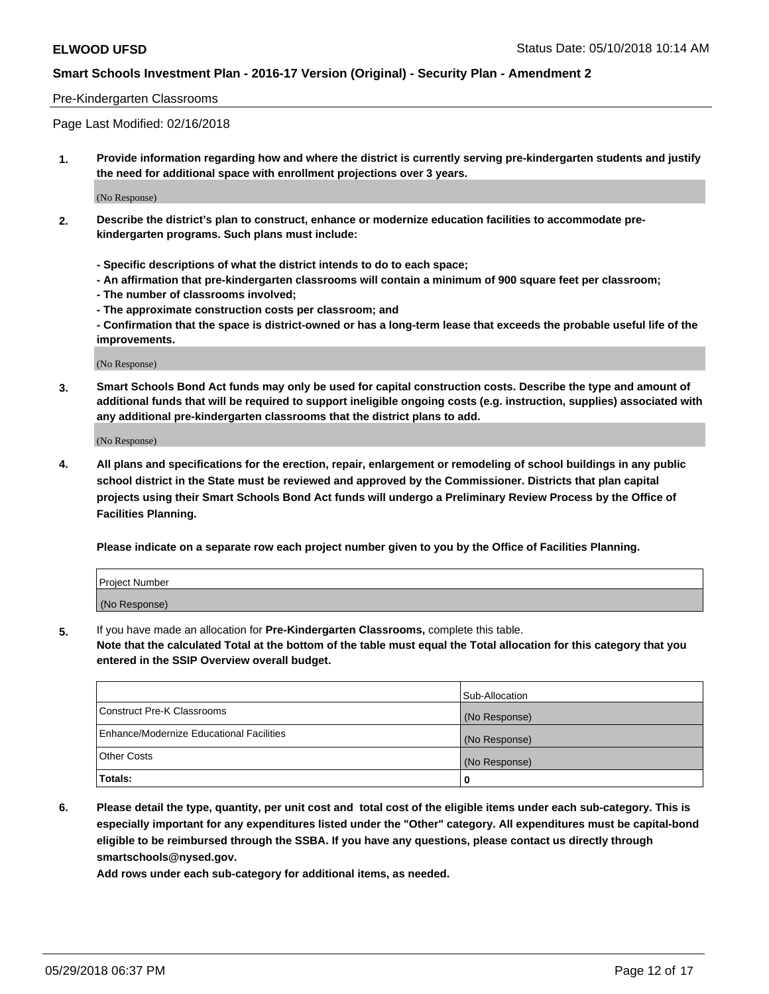### Pre-Kindergarten Classrooms

Page Last Modified: 02/16/2018

**1. Provide information regarding how and where the district is currently serving pre-kindergarten students and justify the need for additional space with enrollment projections over 3 years.**

(No Response)

- **2. Describe the district's plan to construct, enhance or modernize education facilities to accommodate prekindergarten programs. Such plans must include:**
	- **Specific descriptions of what the district intends to do to each space;**
	- **An affirmation that pre-kindergarten classrooms will contain a minimum of 900 square feet per classroom;**
	- **The number of classrooms involved;**
	- **The approximate construction costs per classroom; and**
	- **Confirmation that the space is district-owned or has a long-term lease that exceeds the probable useful life of the improvements.**

(No Response)

**3. Smart Schools Bond Act funds may only be used for capital construction costs. Describe the type and amount of additional funds that will be required to support ineligible ongoing costs (e.g. instruction, supplies) associated with any additional pre-kindergarten classrooms that the district plans to add.**

(No Response)

**4. All plans and specifications for the erection, repair, enlargement or remodeling of school buildings in any public school district in the State must be reviewed and approved by the Commissioner. Districts that plan capital projects using their Smart Schools Bond Act funds will undergo a Preliminary Review Process by the Office of Facilities Planning.**

**Please indicate on a separate row each project number given to you by the Office of Facilities Planning.**

| <b>Project Number</b> |  |
|-----------------------|--|
| (No Response)         |  |

**5.** If you have made an allocation for **Pre-Kindergarten Classrooms,** complete this table.

**Note that the calculated Total at the bottom of the table must equal the Total allocation for this category that you entered in the SSIP Overview overall budget.**

|                                          | Sub-Allocation |
|------------------------------------------|----------------|
| Construct Pre-K Classrooms               | (No Response)  |
| Enhance/Modernize Educational Facilities | (No Response)  |
| Other Costs                              | (No Response)  |
| Totals:                                  | 0              |

**6. Please detail the type, quantity, per unit cost and total cost of the eligible items under each sub-category. This is especially important for any expenditures listed under the "Other" category. All expenditures must be capital-bond eligible to be reimbursed through the SSBA. If you have any questions, please contact us directly through smartschools@nysed.gov.**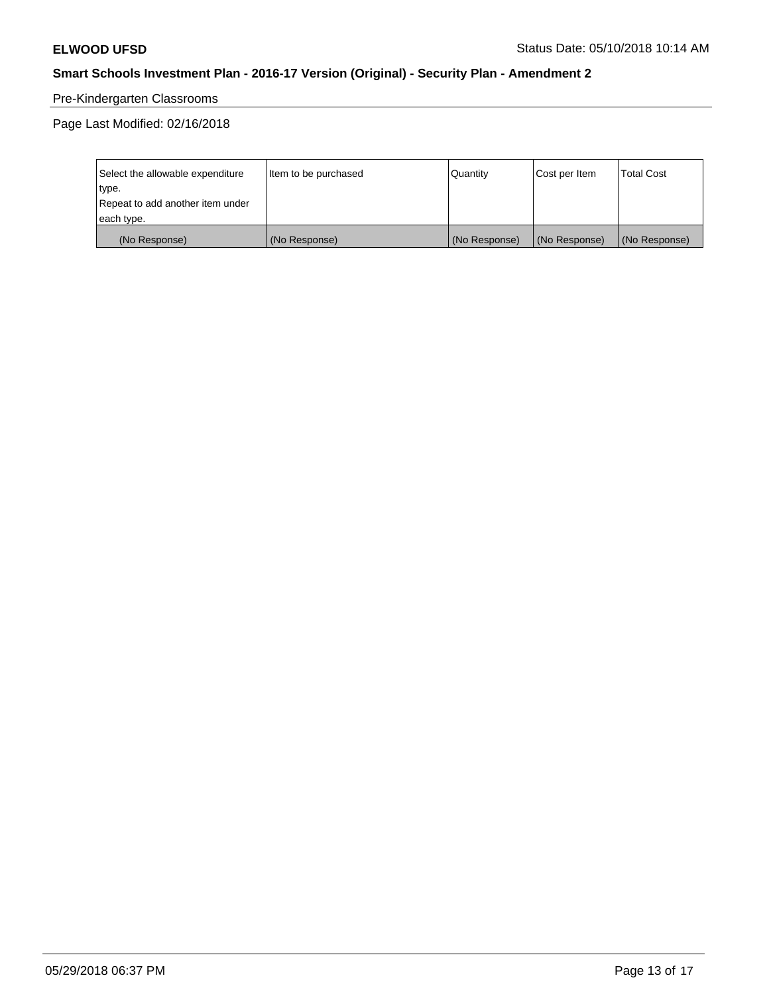# Pre-Kindergarten Classrooms

| Select the allowable expenditure | Item to be purchased | Quantity      | Cost per Item | <b>Total Cost</b> |
|----------------------------------|----------------------|---------------|---------------|-------------------|
| type.                            |                      |               |               |                   |
| Repeat to add another item under |                      |               |               |                   |
| each type.                       |                      |               |               |                   |
| (No Response)                    | (No Response)        | (No Response) | (No Response) | (No Response)     |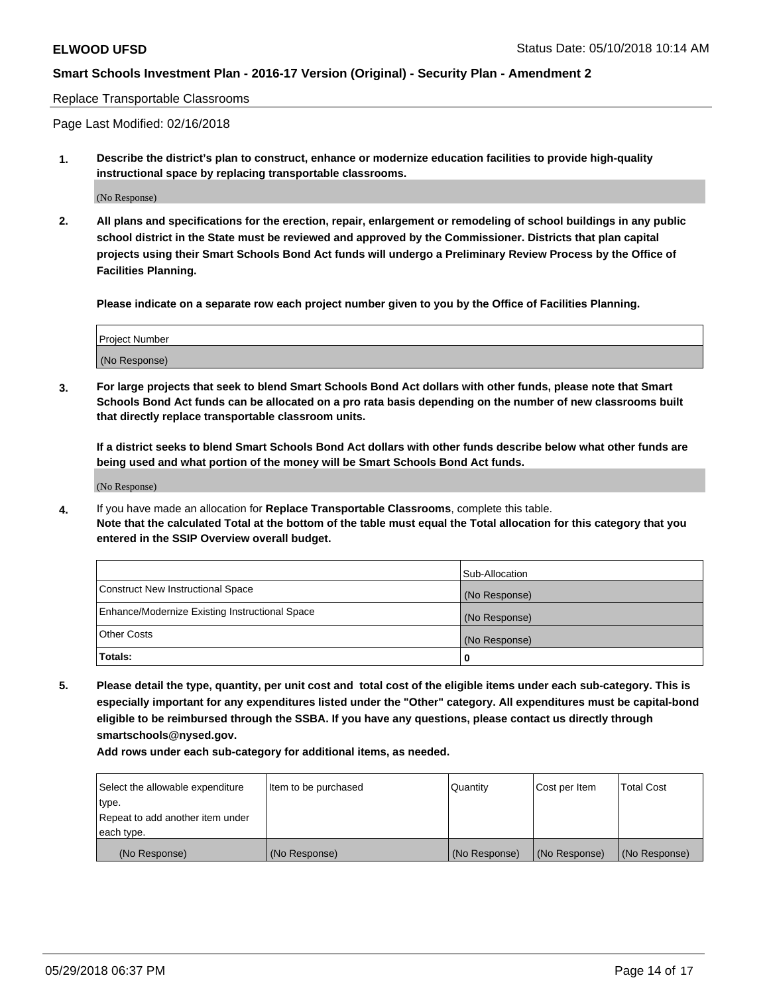#### Replace Transportable Classrooms

Page Last Modified: 02/16/2018

**1. Describe the district's plan to construct, enhance or modernize education facilities to provide high-quality instructional space by replacing transportable classrooms.**

(No Response)

**2. All plans and specifications for the erection, repair, enlargement or remodeling of school buildings in any public school district in the State must be reviewed and approved by the Commissioner. Districts that plan capital projects using their Smart Schools Bond Act funds will undergo a Preliminary Review Process by the Office of Facilities Planning.**

**Please indicate on a separate row each project number given to you by the Office of Facilities Planning.**

| Project Number |  |
|----------------|--|
| (No Response)  |  |

**3. For large projects that seek to blend Smart Schools Bond Act dollars with other funds, please note that Smart Schools Bond Act funds can be allocated on a pro rata basis depending on the number of new classrooms built that directly replace transportable classroom units.**

**If a district seeks to blend Smart Schools Bond Act dollars with other funds describe below what other funds are being used and what portion of the money will be Smart Schools Bond Act funds.**

(No Response)

**4.** If you have made an allocation for **Replace Transportable Classrooms**, complete this table. **Note that the calculated Total at the bottom of the table must equal the Total allocation for this category that you entered in the SSIP Overview overall budget.**

|                                                | Sub-Allocation |
|------------------------------------------------|----------------|
| Construct New Instructional Space              | (No Response)  |
| Enhance/Modernize Existing Instructional Space | (No Response)  |
| Other Costs                                    | (No Response)  |
| Totals:                                        | 0              |

**5. Please detail the type, quantity, per unit cost and total cost of the eligible items under each sub-category. This is especially important for any expenditures listed under the "Other" category. All expenditures must be capital-bond eligible to be reimbursed through the SSBA. If you have any questions, please contact us directly through smartschools@nysed.gov.**

| Select the allowable expenditure | Item to be purchased | Quantity      | Cost per Item | <b>Total Cost</b> |
|----------------------------------|----------------------|---------------|---------------|-------------------|
| type.                            |                      |               |               |                   |
| Repeat to add another item under |                      |               |               |                   |
| each type.                       |                      |               |               |                   |
| (No Response)                    | (No Response)        | (No Response) | (No Response) | (No Response)     |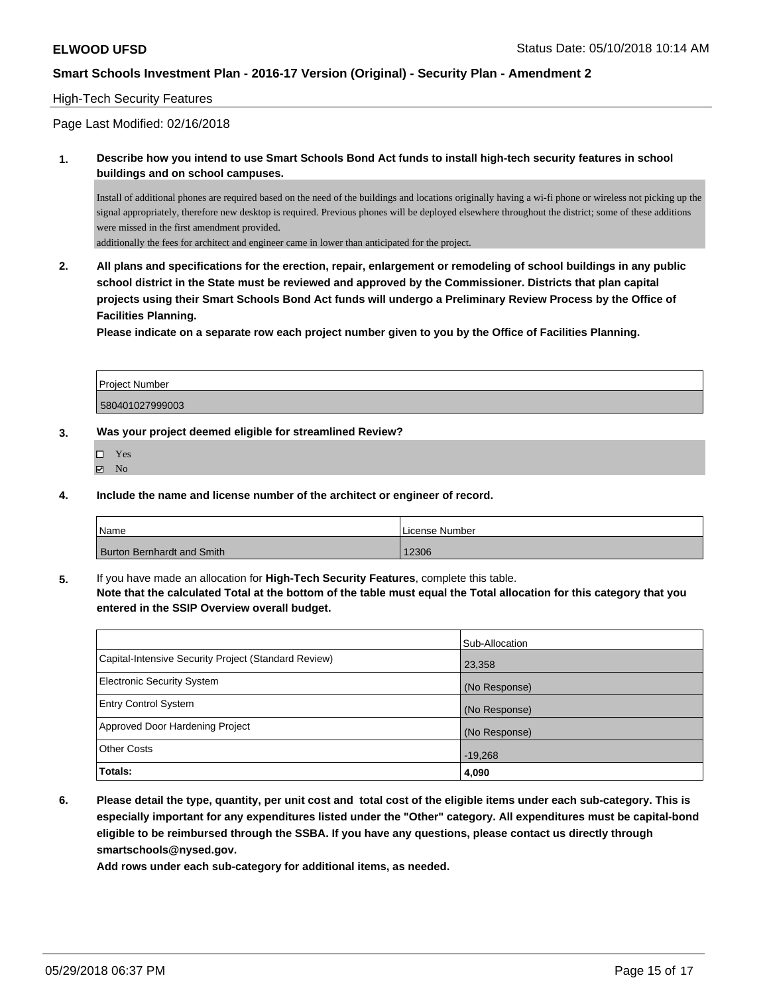### High-Tech Security Features

Page Last Modified: 02/16/2018

**1. Describe how you intend to use Smart Schools Bond Act funds to install high-tech security features in school buildings and on school campuses.**

Install of additional phones are required based on the need of the buildings and locations originally having a wi-fi phone or wireless not picking up the signal appropriately, therefore new desktop is required. Previous phones will be deployed elsewhere throughout the district; some of these additions were missed in the first amendment provided.

additionally the fees for architect and engineer came in lower than anticipated for the project.

**2. All plans and specifications for the erection, repair, enlargement or remodeling of school buildings in any public school district in the State must be reviewed and approved by the Commissioner. Districts that plan capital projects using their Smart Schools Bond Act funds will undergo a Preliminary Review Process by the Office of Facilities Planning.** 

**Please indicate on a separate row each project number given to you by the Office of Facilities Planning.**

| <b>Project Number</b> |  |
|-----------------------|--|
| 580401027999003       |  |

#### **3. Was your project deemed eligible for streamlined Review?**

- Yes
- $\boxtimes$  No
- **4. Include the name and license number of the architect or engineer of record.**

| l Name                            | License Number |
|-----------------------------------|----------------|
| <b>Burton Bernhardt and Smith</b> | 12306          |

**5.** If you have made an allocation for **High-Tech Security Features**, complete this table. **Note that the calculated Total at the bottom of the table must equal the Total allocation for this category that you entered in the SSIP Overview overall budget.**

|                                                      | Sub-Allocation |
|------------------------------------------------------|----------------|
| Capital-Intensive Security Project (Standard Review) | 23,358         |
| Electronic Security System                           | (No Response)  |
| <b>Entry Control System</b>                          | (No Response)  |
| Approved Door Hardening Project                      | (No Response)  |
| <b>Other Costs</b>                                   | $-19,268$      |
| Totals:                                              | 4,090          |

**6. Please detail the type, quantity, per unit cost and total cost of the eligible items under each sub-category. This is especially important for any expenditures listed under the "Other" category. All expenditures must be capital-bond eligible to be reimbursed through the SSBA. If you have any questions, please contact us directly through smartschools@nysed.gov.**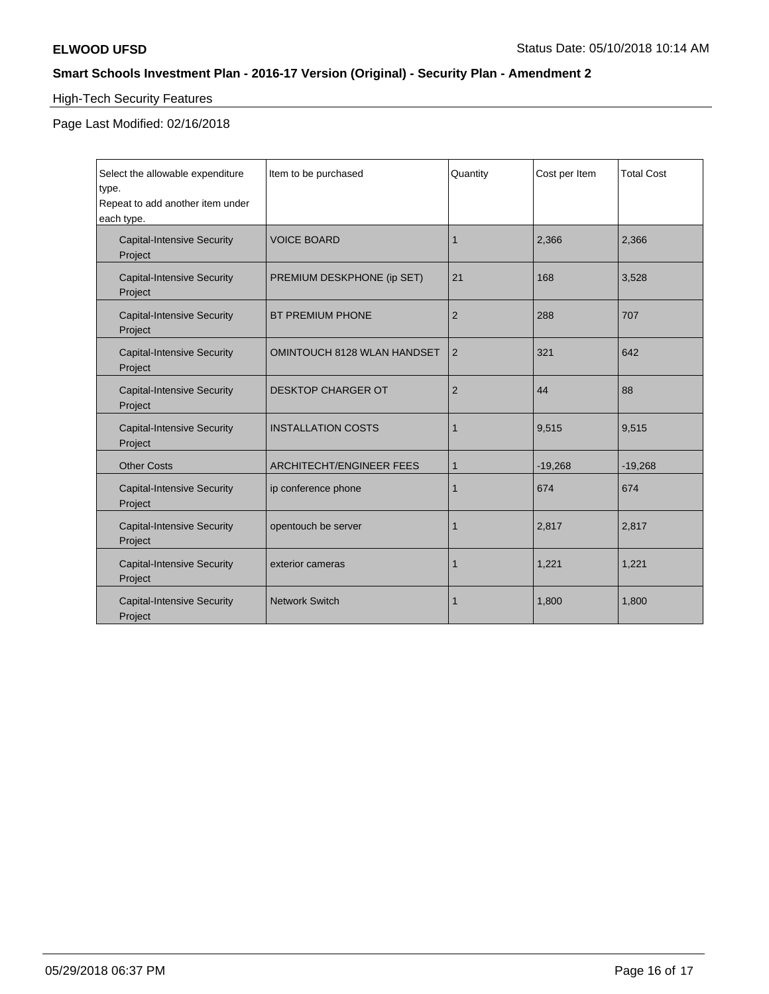# High-Tech Security Features

| Select the allowable expenditure<br>type.<br>Repeat to add another item under<br>each type. | Item to be purchased               | Quantity       | Cost per Item | <b>Total Cost</b> |
|---------------------------------------------------------------------------------------------|------------------------------------|----------------|---------------|-------------------|
| <b>Capital-Intensive Security</b><br>Project                                                | <b>VOICE BOARD</b>                 | 1              | 2,366         | 2,366             |
| <b>Capital-Intensive Security</b><br>Project                                                | PREMIUM DESKPHONE (ip SET)         | 21             | 168           | 3,528             |
| <b>Capital-Intensive Security</b><br>Project                                                | <b>BT PREMIUM PHONE</b>            | $\overline{2}$ | 288           | 707               |
| <b>Capital-Intensive Security</b><br>Project                                                | <b>OMINTOUCH 8128 WLAN HANDSET</b> | 2              | 321           | 642               |
| <b>Capital-Intensive Security</b><br>Project                                                | <b>DESKTOP CHARGER OT</b>          | $\overline{2}$ | 44            | 88                |
| <b>Capital-Intensive Security</b><br>Project                                                | <b>INSTALLATION COSTS</b>          | 1              | 9,515         | 9,515             |
| <b>Other Costs</b>                                                                          | <b>ARCHITECHT/ENGINEER FEES</b>    | 1              | $-19,268$     | $-19,268$         |
| <b>Capital-Intensive Security</b><br>Project                                                | ip conference phone                | 1              | 674           | 674               |
| <b>Capital-Intensive Security</b><br>Project                                                | opentouch be server                | 1              | 2,817         | 2,817             |
| <b>Capital-Intensive Security</b><br>Project                                                | exterior cameras                   | 1              | 1,221         | 1,221             |
| <b>Capital-Intensive Security</b><br>Project                                                | <b>Network Switch</b>              |                | 1,800         | 1,800             |